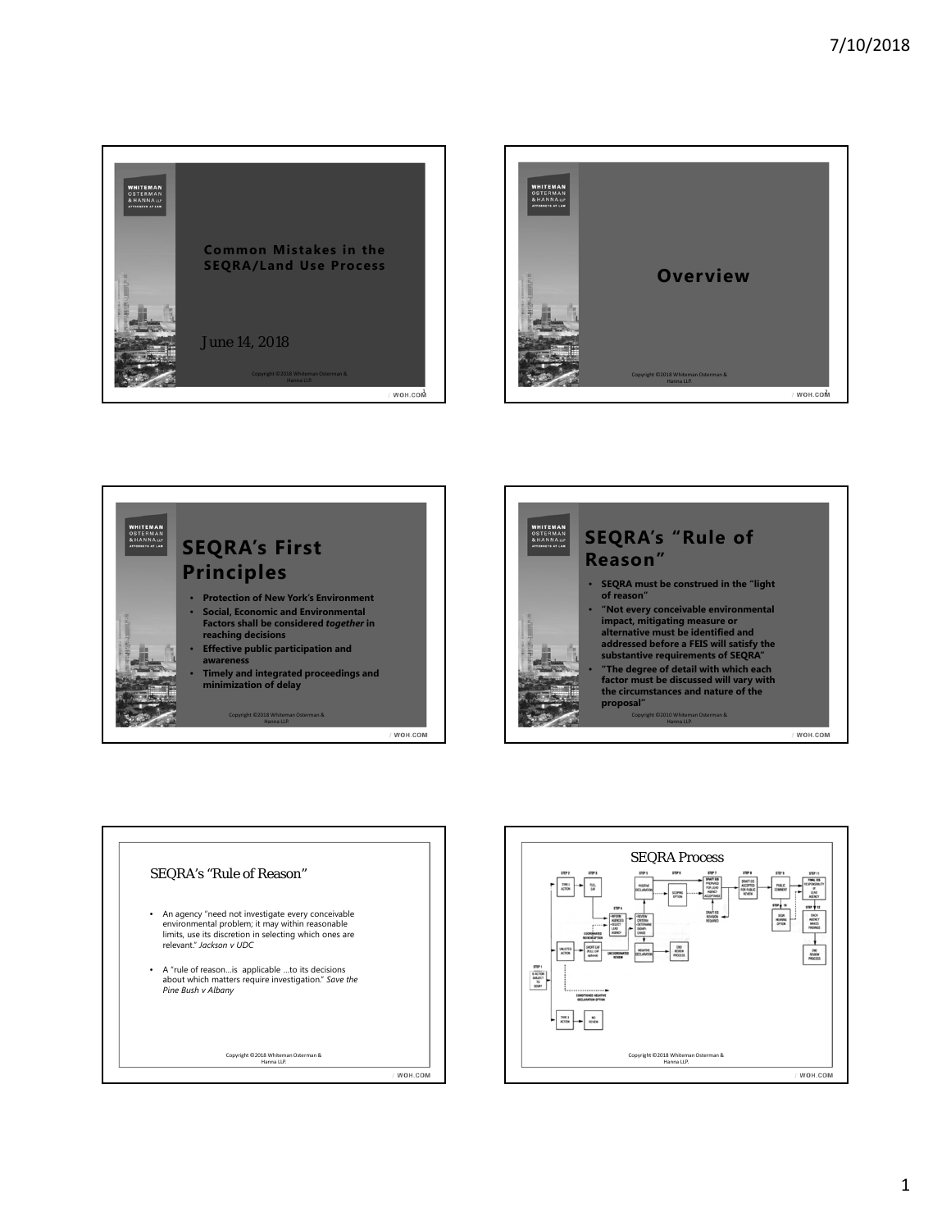









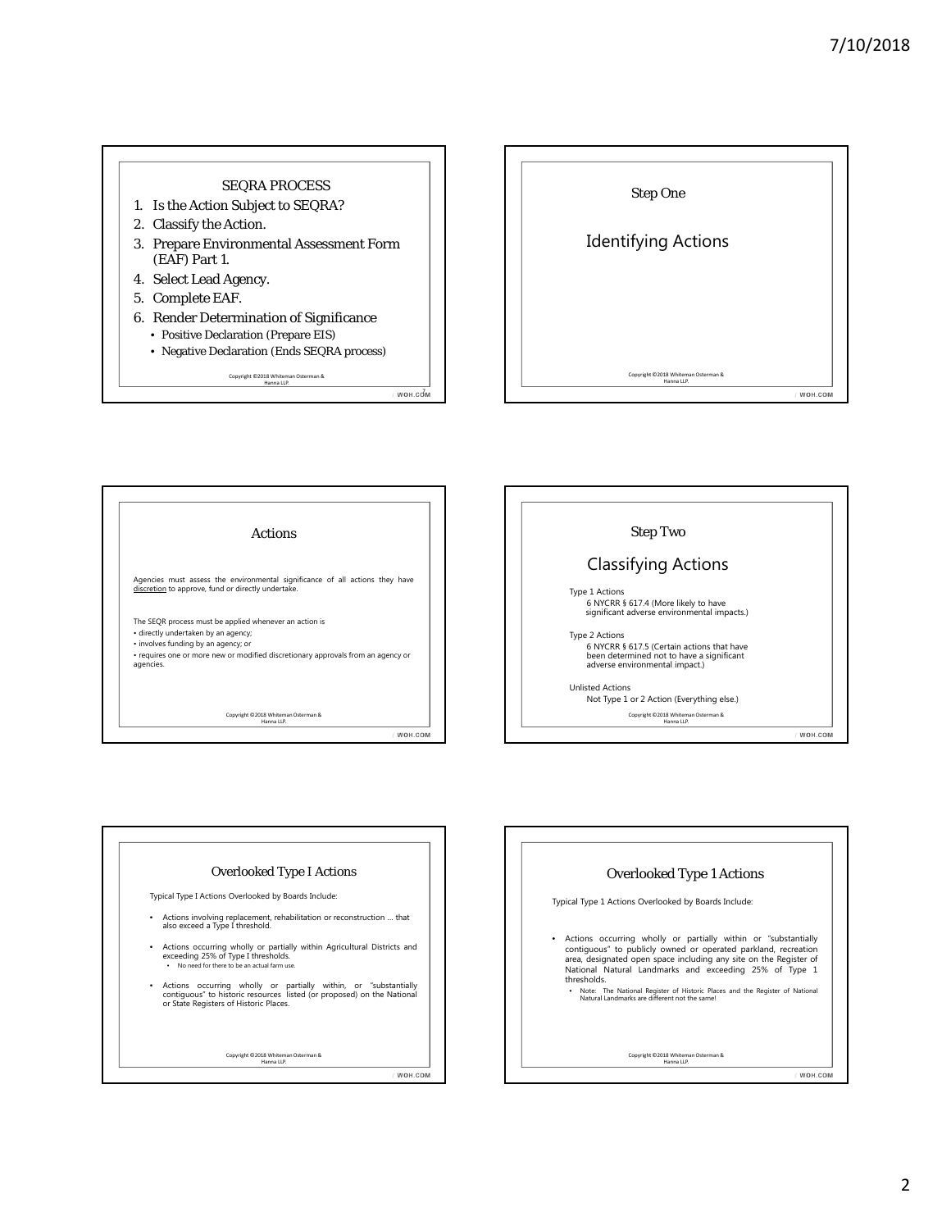## SEQRA PROCESS 1. Is the Action Subject to SEQRA?

- 2. Classify the Action.
- 3. Prepare Environmental Assessment Form (EAF) Part 1.
- 4. Select Lead Agency.
- 5. Complete EAF.
- 6. Render Determination of Significance
	- Positive Declaration (Prepare EIS)
	- Negative Declaration (Ends SEQRA process)

Copyright ©2018 Whiteman Osterman & Hanna LLP.

 $\overline{W}$ 









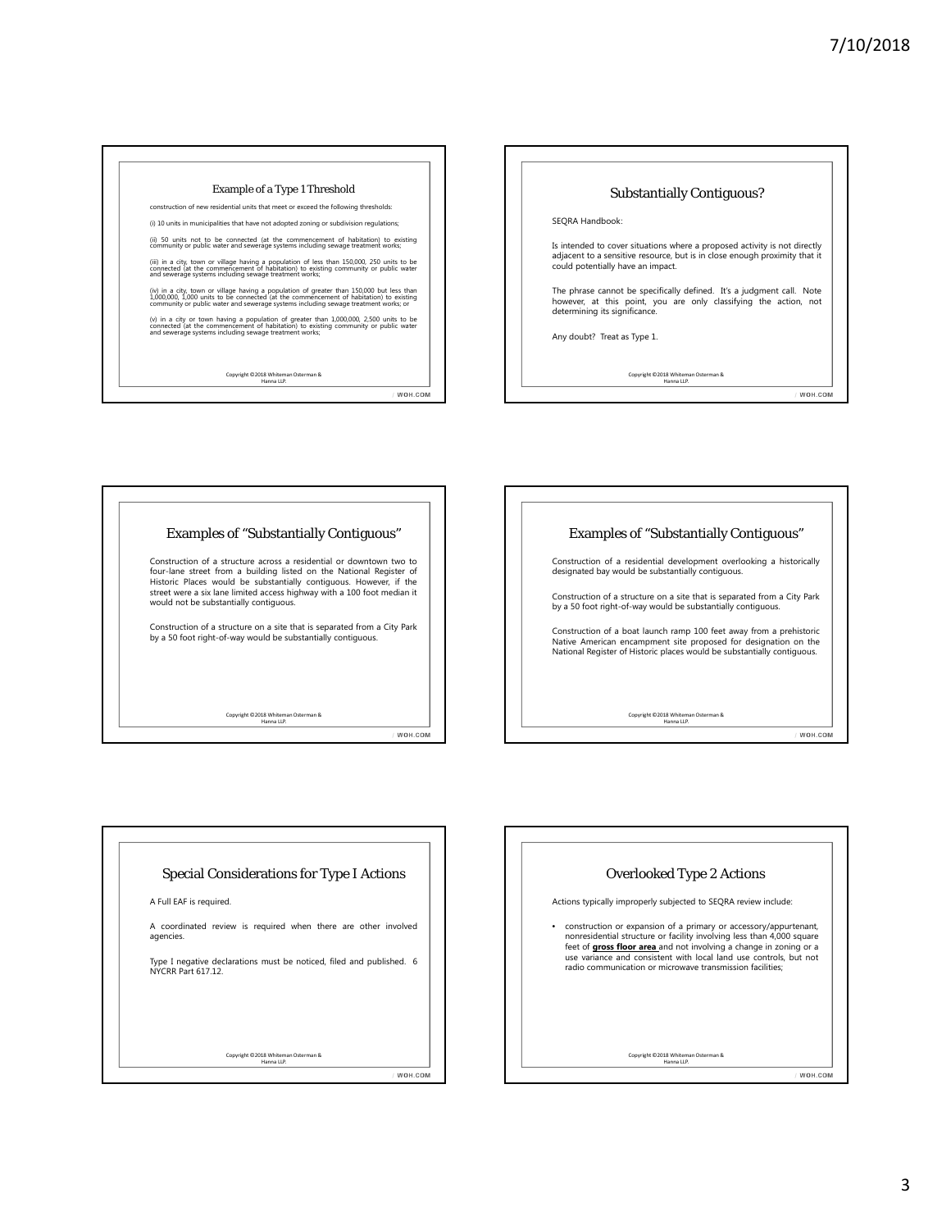







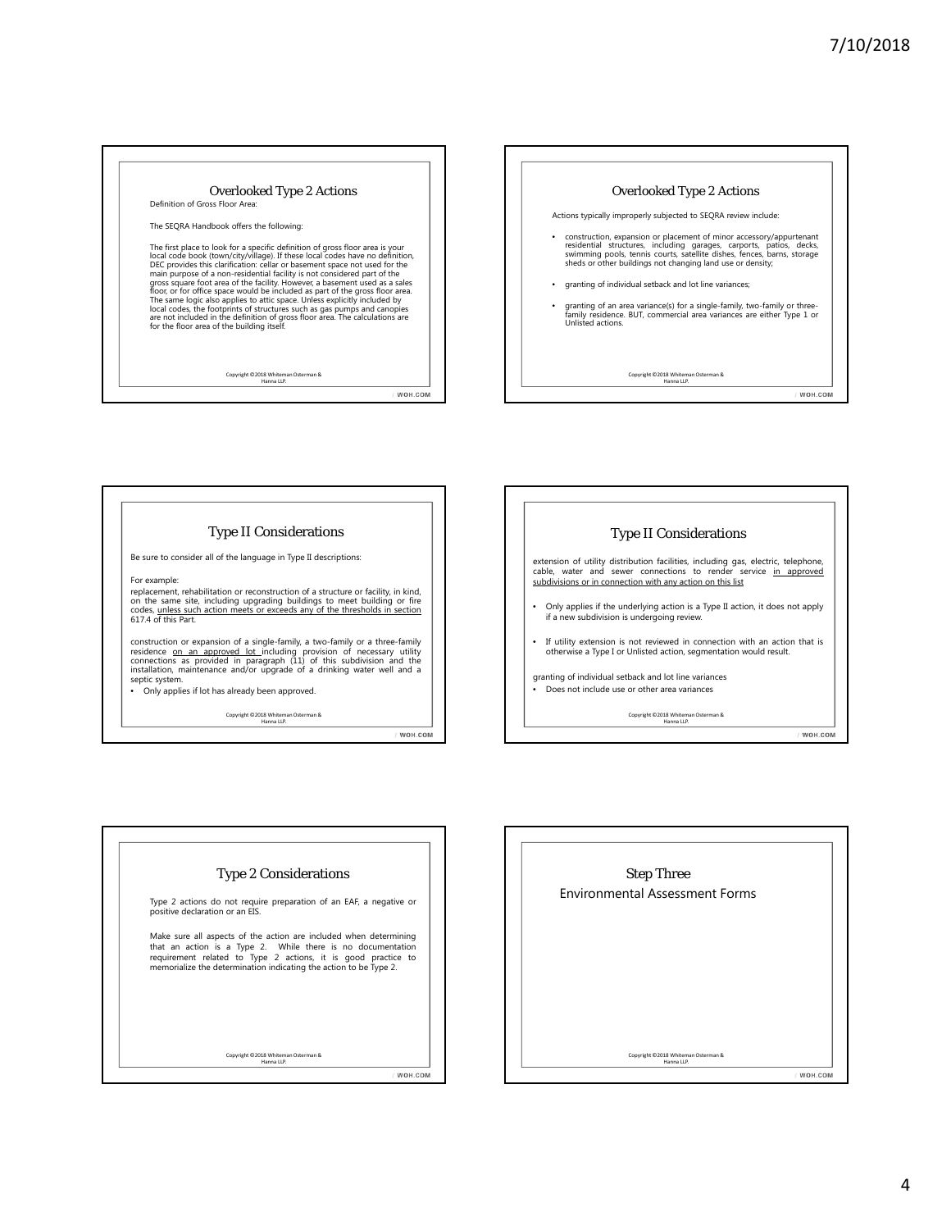#### Overlooked Type 2 Actions Definition of Gross Floor Area:

The SEQRA Handbook offers the following:

The first place to look for a specific definition of gross floor area is your<br>local code book (town/city/village). If these local codes have no definition,<br>DEC provides this clarification: cellar or basement space not used local codes, the footprints of structures such as gas pumps and canopies are not included in the definition of gross floor area. The calculations are for the floor area of the building itself.

Copyright ©2018 Whiteman Osterman & Hanna LLP.



Type II Considerations Be sure to consider all of the language in Type II descriptions: For example: replacement, rehabilitation or reconstruction of a structure or facility, in kind, on the same site, including upgrading buildings to meet building or fire<br>codes, <u>unless such action meets or exceeds any of the thresholds in section</u><br>617.4 of this Part. construction or expansion of a single-family, a two-family or a three-family<br>residence <u>on an approved lot</u> including provision of necessary utility<br>connections as provided in paragraph (11) of this subdivision and the<br>ins septic system. • Only applies if lot has already been approved. Copyright ©2018 Whiteman Osterman & Hanna LLP.

 $\sqrt{W}$ он.сом





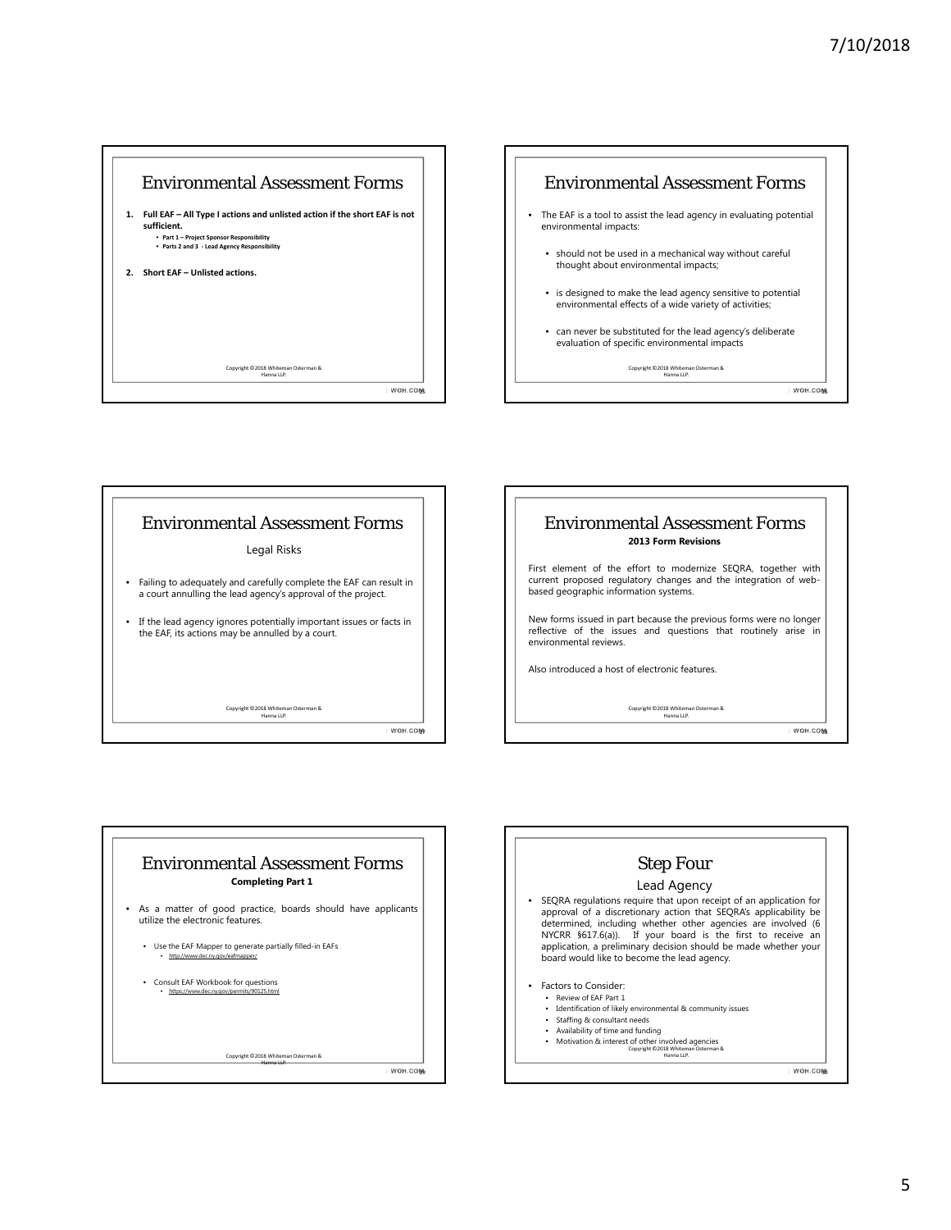









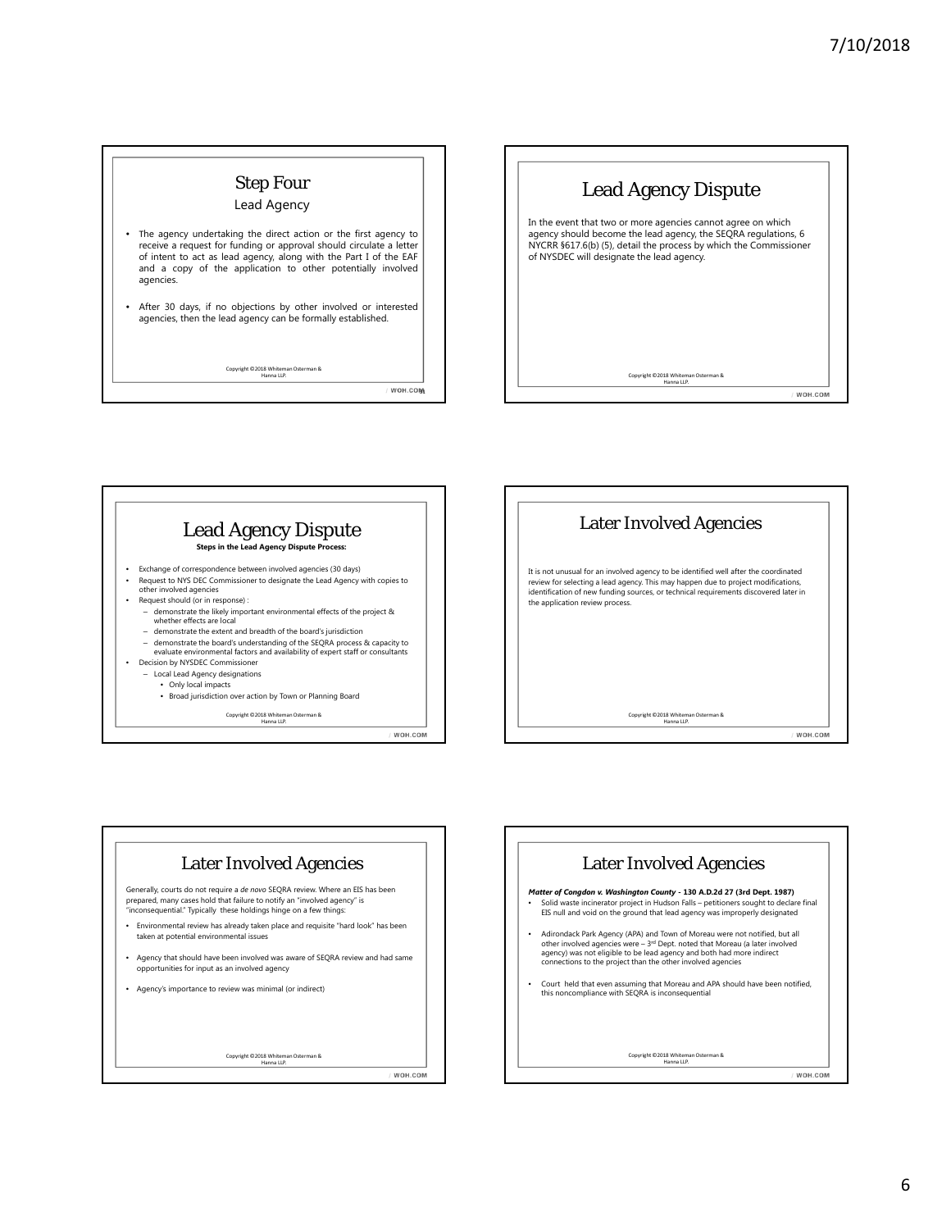







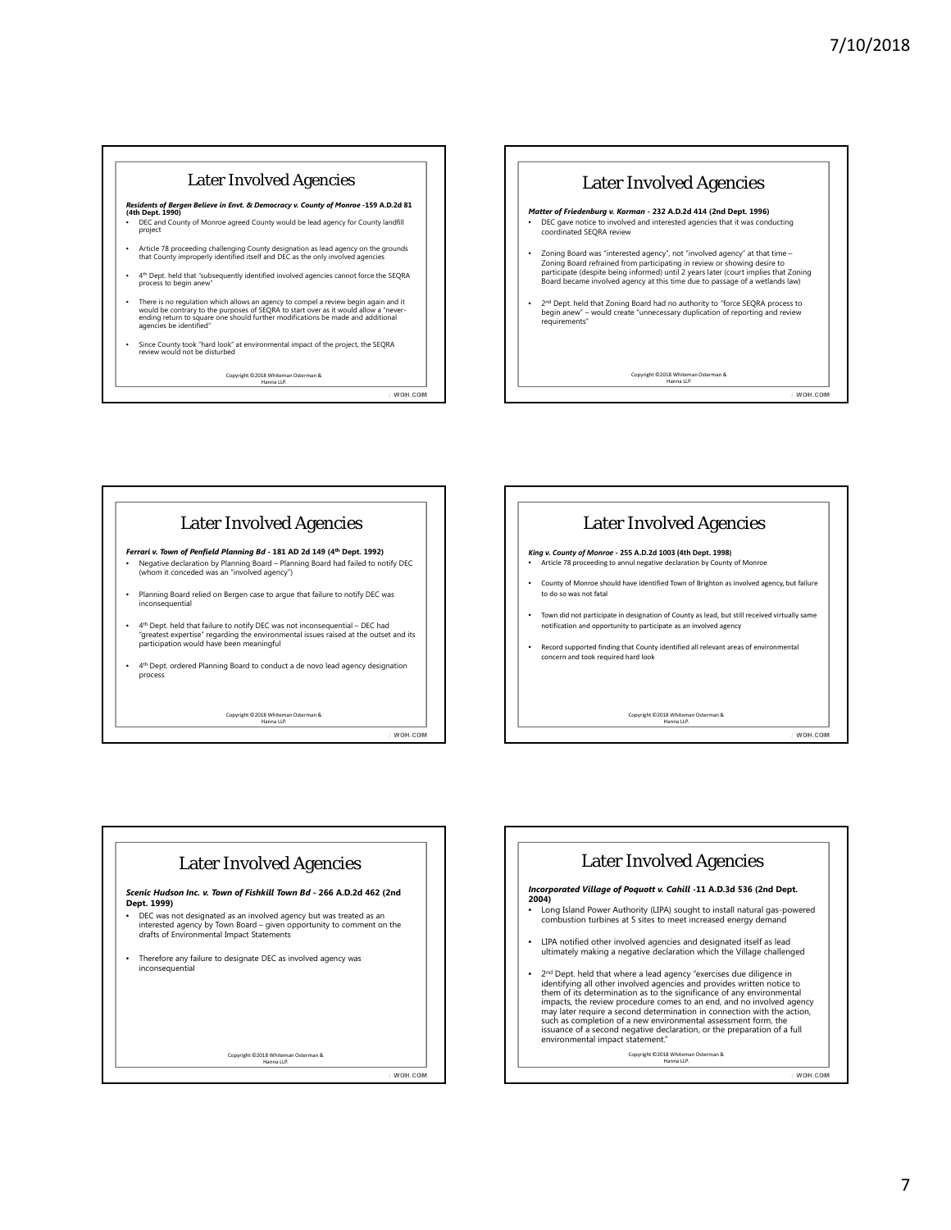## Later Involved Agencies

- *Residents of Bergen Believe in Envt. & Democracy v. County of Monroe -159 A.D.2d 81***<br>(4th Dept. 1990)<br>• DEC and County of Monroe agreed County would be lead agency for County landfill** project
- Article 78 proceeding challenging County designation as lead agency on the grounds that County improperly identified itself and DEC as the only involved agencies
- $4^{th}$  Dept. held that "subsequently identified involved agencies cannot force the SEQRA process to begin anew
- There is no regulation which allows an agency to compel a review begin again and it<br>ending return to square one should further start over as it would allow a "never-<br>agencies be identified"<br>agencies be identified"
- Since County took "hard look" at environmental impact of the project, the SEQRA review would not be disturbed

Copyright ©2018 Whiteman Osterman & Hanna LLP.





WOH.COM

WOH.COM





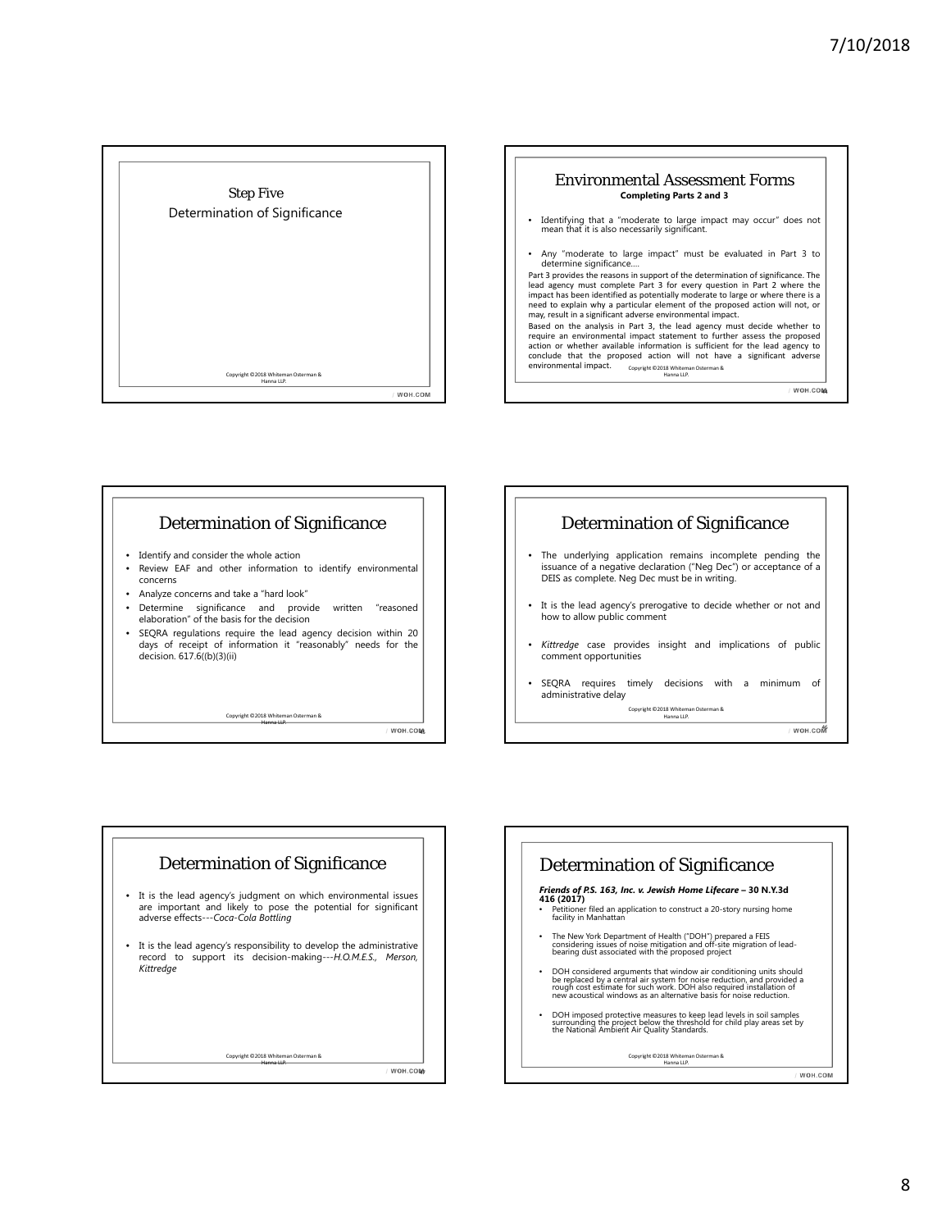









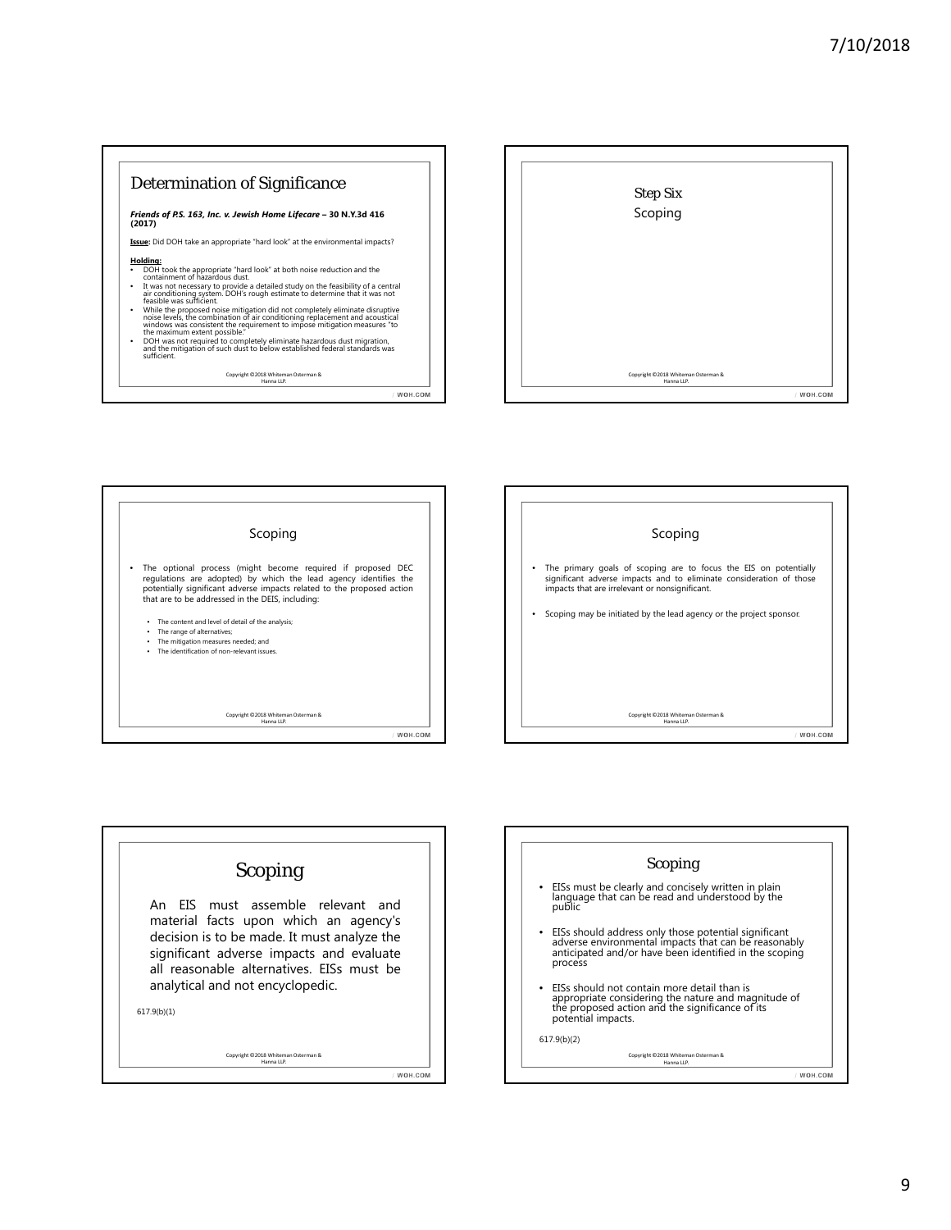## Determination of Significance

# *Friends of P.S. 163, Inc. v. Jewish Home Lifecare* **– 30 N.Y.3d 416 (2017)**

**Issue:** Did DOH take an appropriate "hard look" at the environmental impacts?

#### **Holding:**

- DOH took the appropriate "hard look" at both noise reduction and the containment of hazardous dust.
- It was not necessary to provide a detailed study on the feasibility of a central air conditioning system. DOH's rough estimate to determine that it was not feasible was sufficient.
- While the proposed noise mitigation did not completely eliminate disruptive<br>noise levels, the combination of air conditioning replacement and acoustical<br>windows was consistent the requirement to impose mitigation measure
- 

Copyright ©2018 Whiteman Osterman & Hanna LLP.









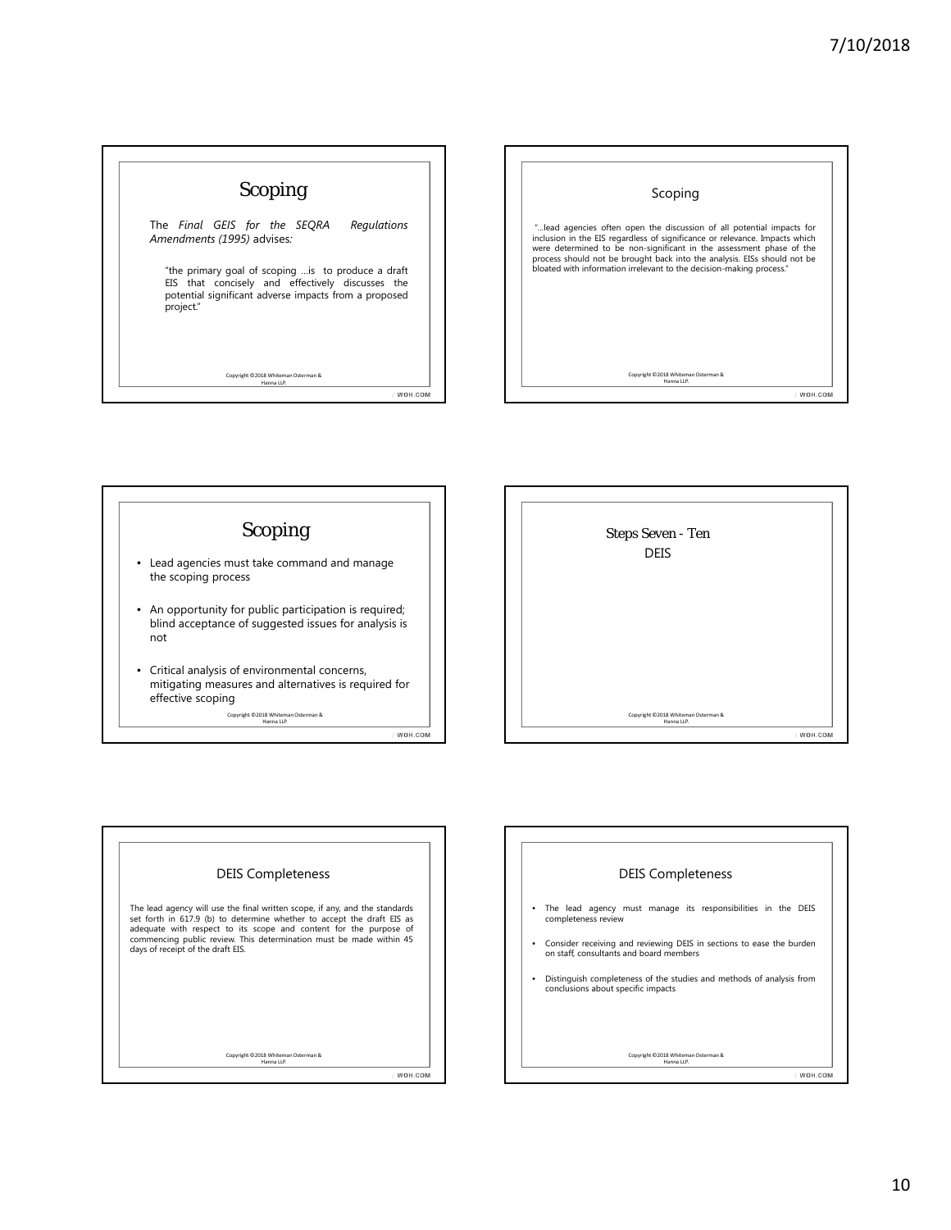









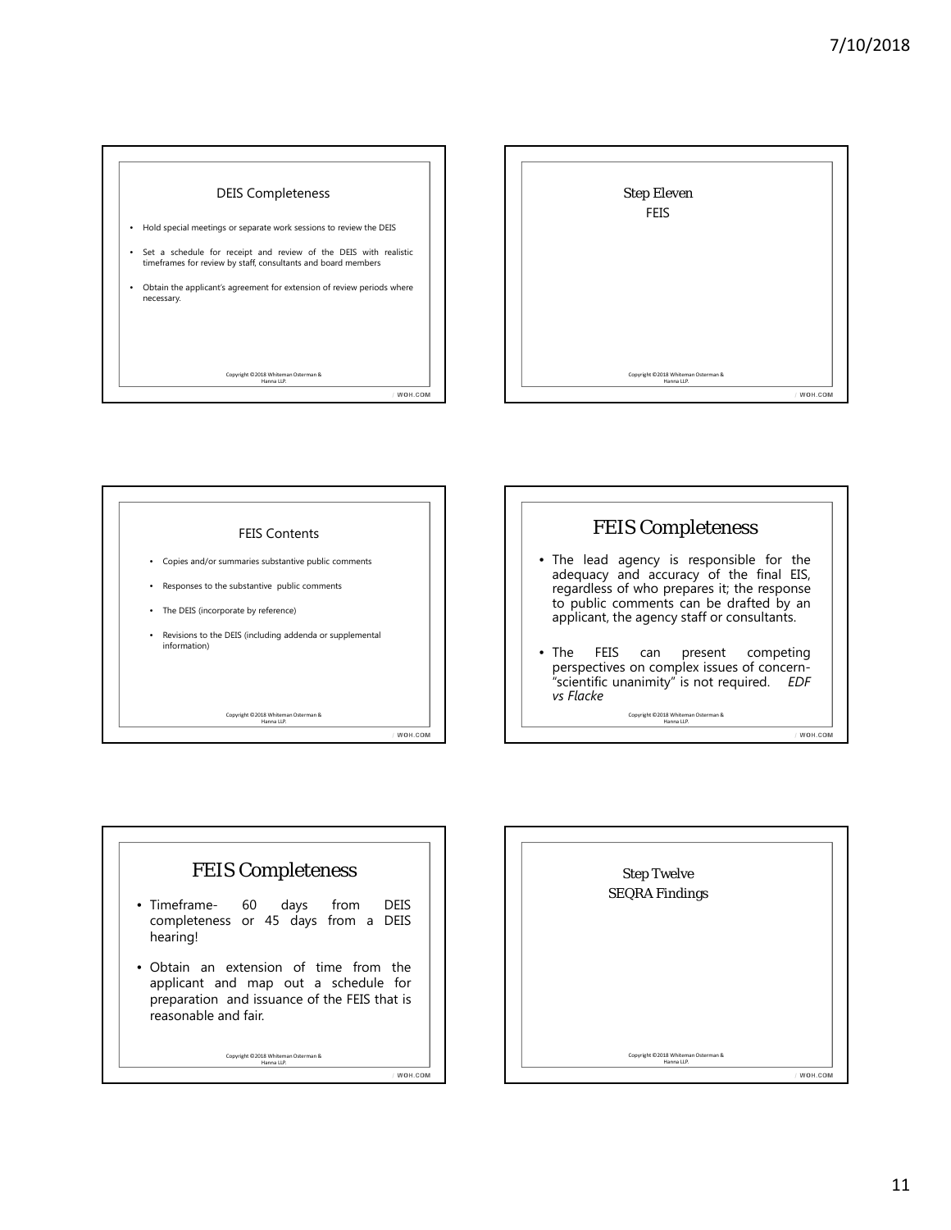









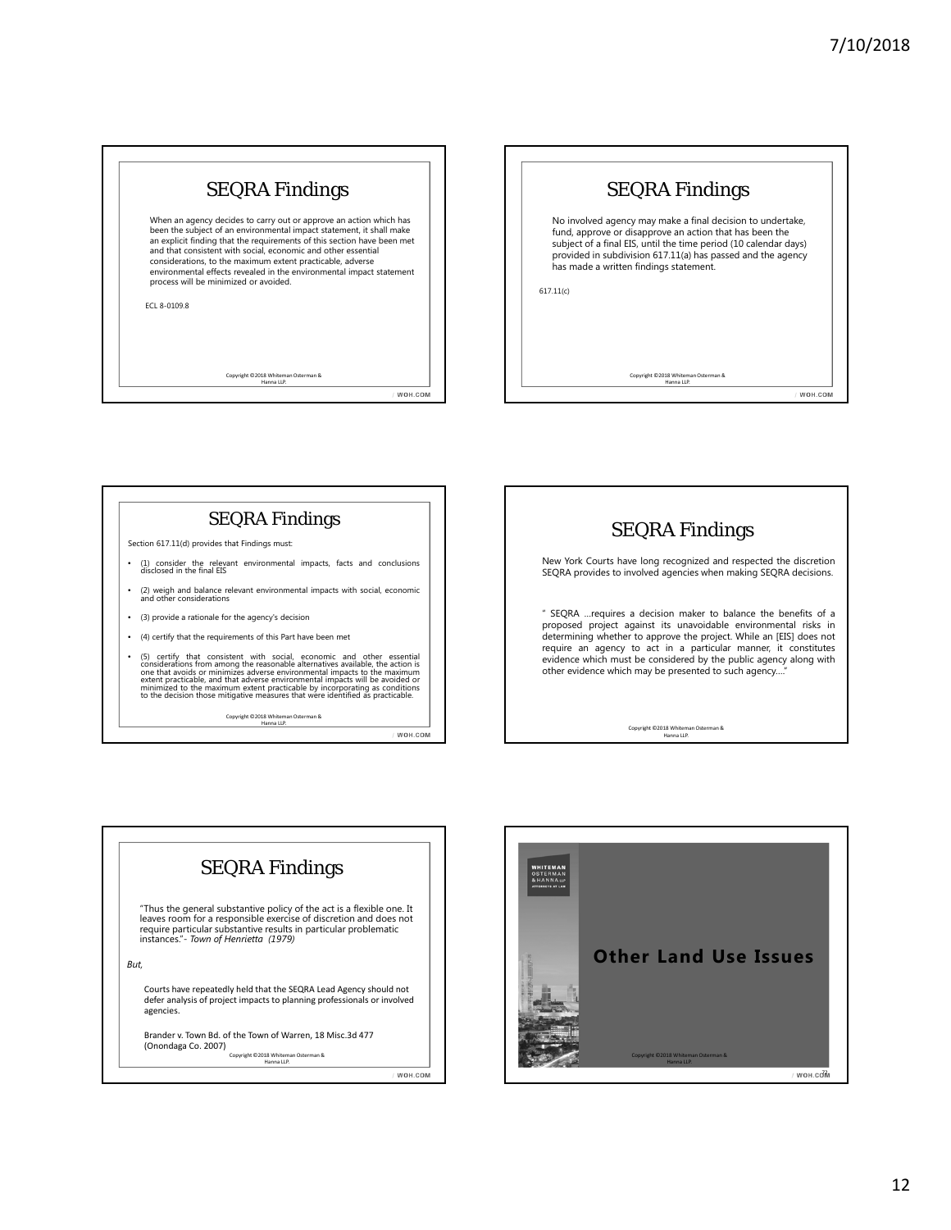## SEQRA Findings

When an agency decides to carry out or approve an action which has been the subject of an environmental impact statement, it shall make an explicit finding that the requirements of this section have been met and that consistent with social, economic and other essential considerations, to the maximum extent practicable, adverse environmental effects revealed in the environmental impact statement process will be minimized or avoided.

ECL 8-0109.8

Copyright ©2018 Whiteman Osterman & Hanna LLP.



## SEQRA Findings

Section 617.11(d) provides that Findings must:

- (1) consider the relevant environmental impacts, facts and conclusions disclosed in the final EIS
- (2) weigh and balance relevant environmental impacts with social, economic and other considerations
- (3) provide a rationale for the agency's decision
- (4) certify that the requirements of this Part have been met
- $\bullet$  (S) certify that consistent with social, economic and other essential<br>considerations from among the reasonable alternatives available, the action is<br>one that avoids or minimizes adverse environmental impacts to the m

Copyright ©2018 Whiteman Osterman & Hanna LLP.

 $/$  WOH.COM

WOH.COM



SEQRA Findings "Thus the general substantive policy of the act is a flexible one. It leaves room for a responsible exercise of discretion and does not require particular substantive results in particular problematic instances."- *Town of Henrietta (1979) But,* Courts have repeatedly held that the SEQRA Lead Agency should not defer analysis of project impacts to planning professionals or involved agencies.

Brander v. Town Bd. of the Town of Warren, 18 Misc.3d 477 (Onondaga Co. 2007) Copyright ©2018 Whiteman Osterman & Hanna LLP.

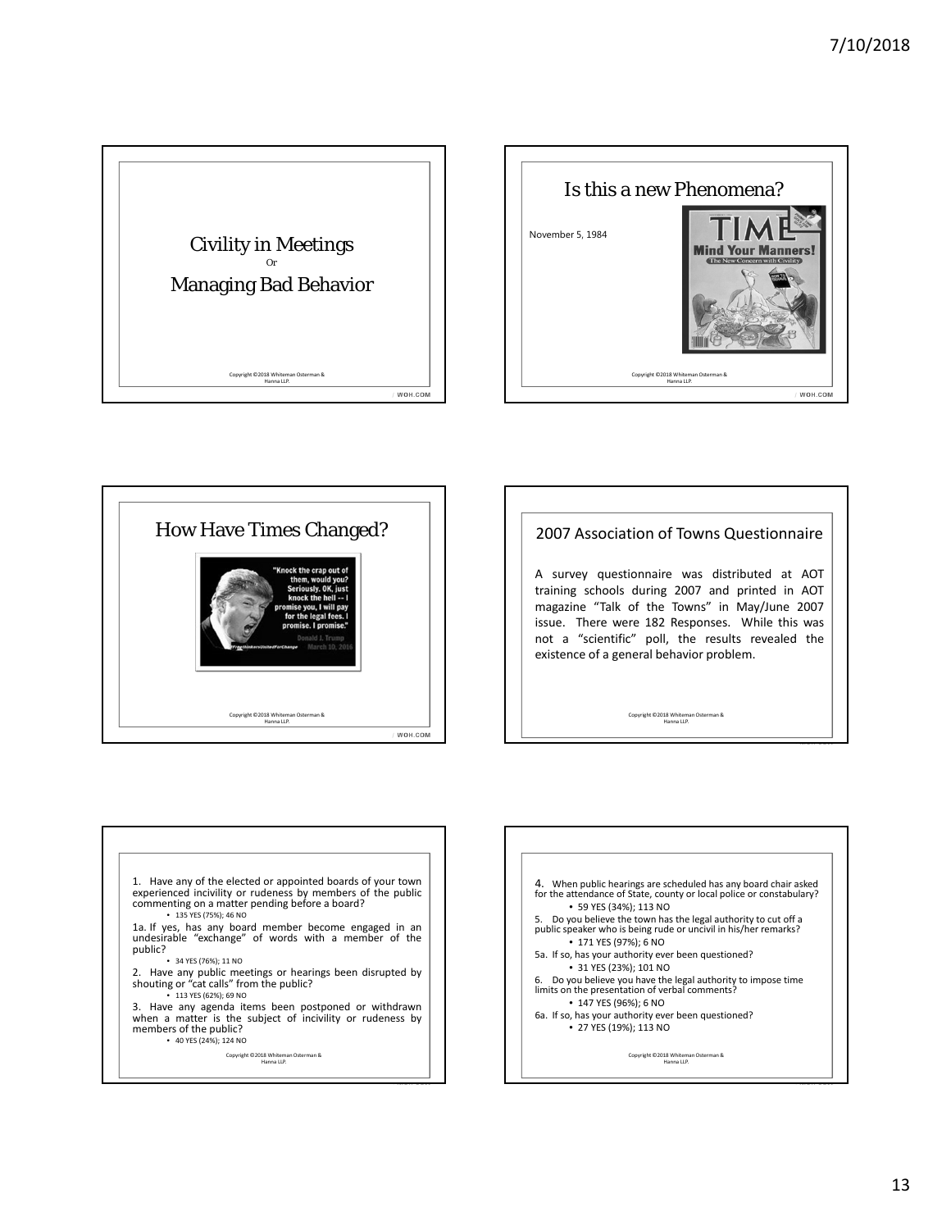









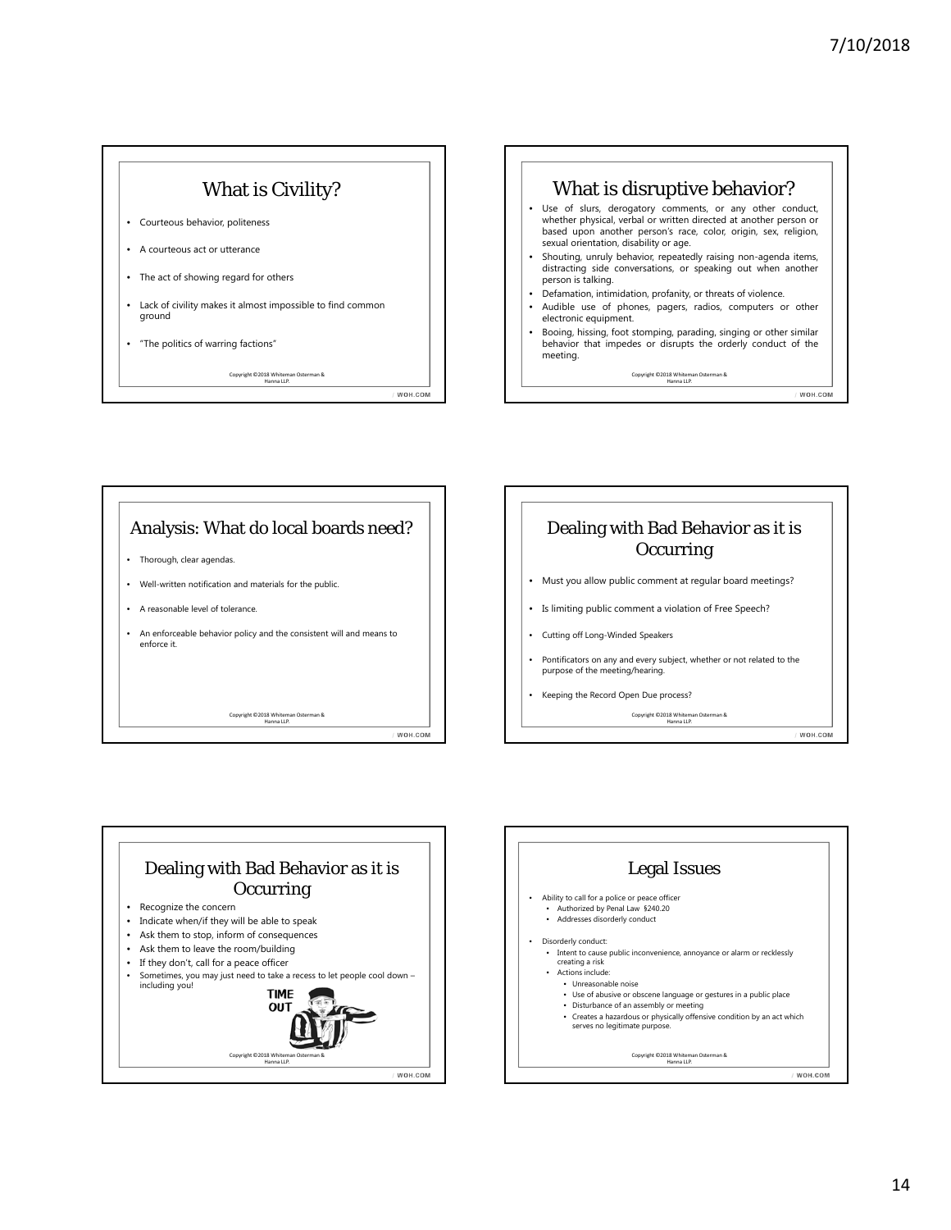## What is Civility?

- Courteous behavior, politeness
- A courteous act or utterance
- The act of showing regard for others
- Lack of civility makes it almost impossible to find common ground
- "The politics of warring factions"

Copyright ©2018 Whiteman Osterman & Hanna LLP.

 $WOH.COM$ 



# Analysis: What do local boards need? • Thorough, clear agendas. • Well-written notification and materials for the public. • A reasonable level of tolerance. • An enforceable behavior policy and the consistent will and means to enforce it. Copyright ©2018 Whiteman Osterman & Hanna LLP. WOH.COM





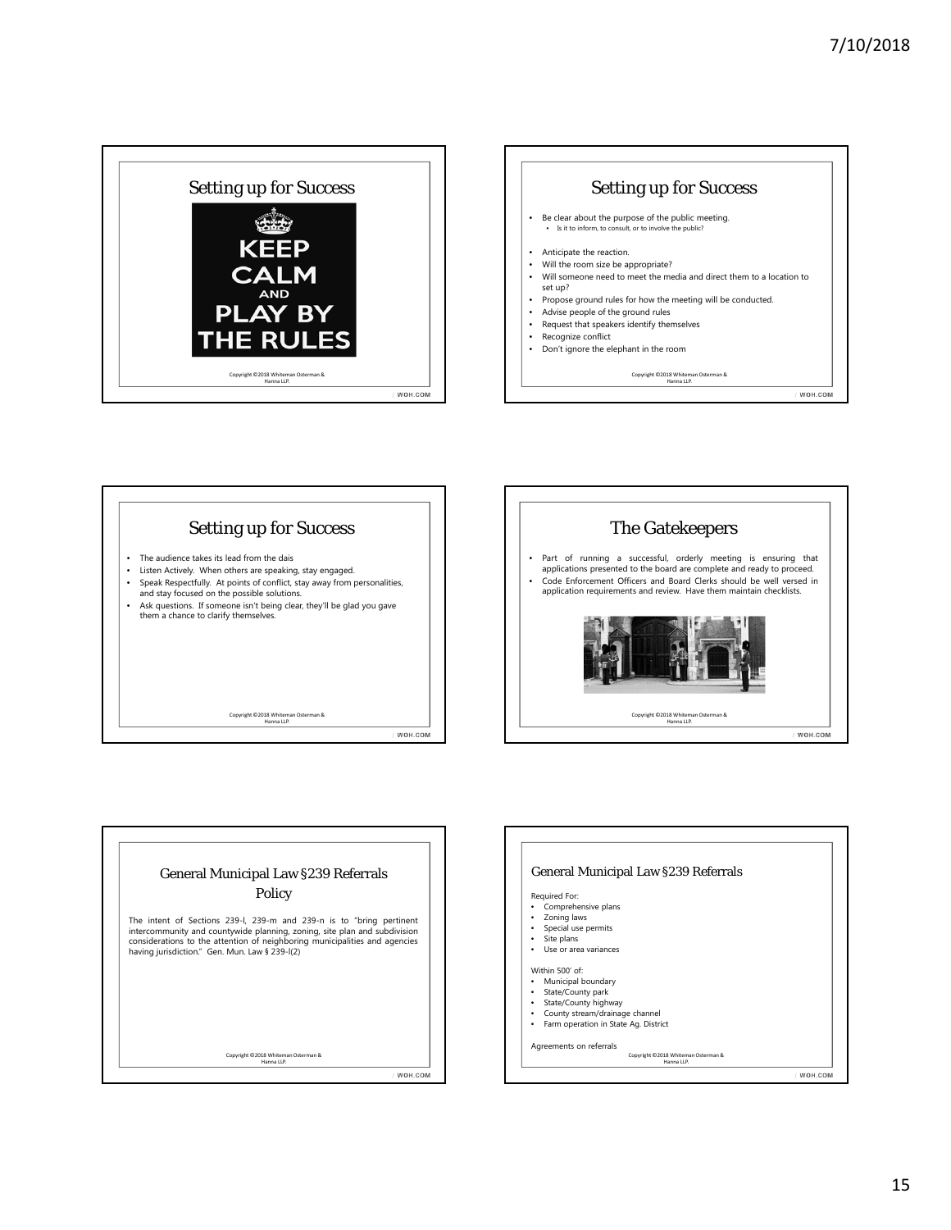









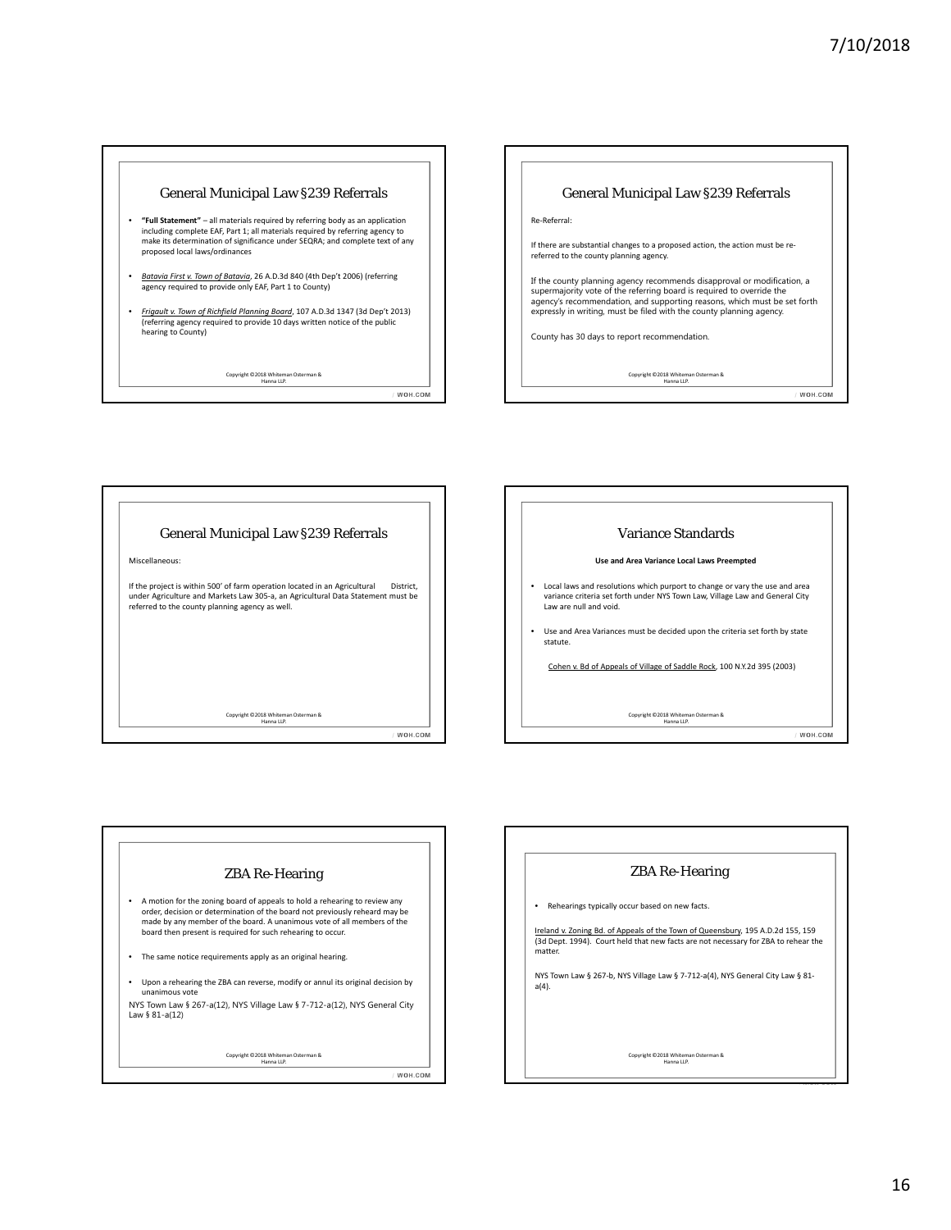

- **"Full Statement"** all materials required by referring body as an application including complete EAF, Part 1; all materials required by referring agency to make its determination of significance under SEQRA; and complete text of any proposed local laws/ordinances
- *Batavia First v. Town of Batavia*, 26 A.D.3d 840 (4th Dep't 2006) (referring agency required to provide only EAF, Part 1 to County)
- *Frigault v. Town of Richfield Planning Board*, 107 A.D.3d 1347 (3d Dep't 2013) (referring agency required to provide 10 days written notice of the public hearing to County)

Copyright ©2018 Whiteman Osterman & Hanna LLP.





| Variance Standards     |                                                                                                                                                             |  |
|------------------------|-------------------------------------------------------------------------------------------------------------------------------------------------------------|--|
|                        | Use and Area Variance Local Laws Preempted                                                                                                                  |  |
| Law are null and void. | Local laws and resolutions which purport to change or vary the use and area<br>variance criteria set forth under NYS Town Law, Village Law and General City |  |
| statute.               | Use and Area Variances must be decided upon the criteria set forth by state                                                                                 |  |
|                        | Cohen v. Bd of Appeals of Village of Saddle Rock, 100 N.Y.2d 395 (2003)                                                                                     |  |
|                        |                                                                                                                                                             |  |
|                        | Copyright ©2018 Whiteman Osterman &<br>Hanna IIP                                                                                                            |  |



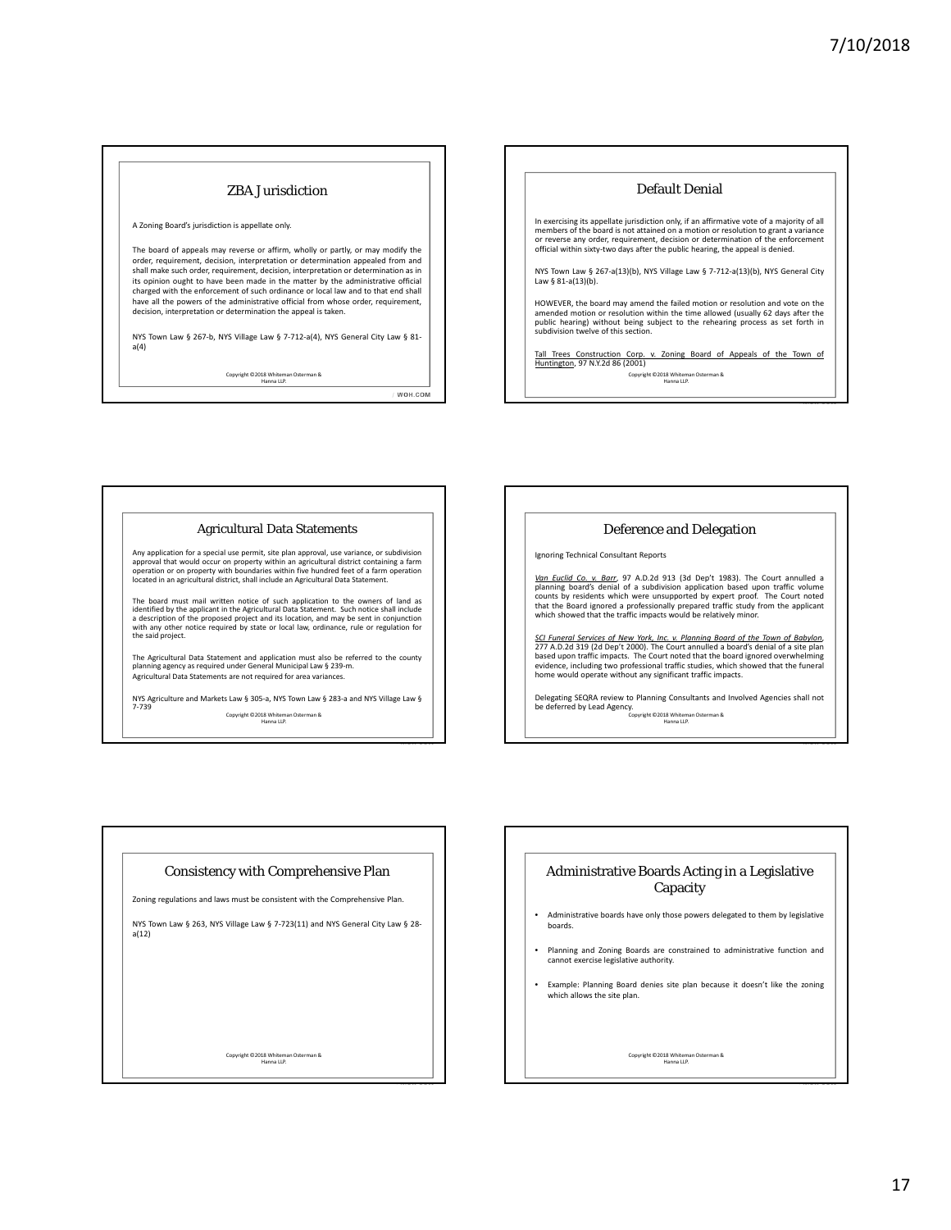#### ZBA Jurisdiction

A Zoning Board's jurisdiction is appellate only.

The board of appeals may reverse or affirm, wholly or partly, or may modify the order, requirement, decision, interpretation or determination appealed from and shall make such order, requirement, decision, interpretation or determination as in its opinion ought to have been made in the matter by the administrative official charged with the enforcement of such ordinance or local law and to that end shall have all the powers of the administrative official from whose order, requirement, decision, interpretation or determination the appeal is taken.

NYS Town Law § 267‐b, NYS Village Law § 7‐712‐a(4), NYS General City Law § 81‐ a(4)

Copyright ©2018 Whiteman Osterman & Hanna LLP.

WOH.COM

## Default Denial In exercising its appellate jurisdiction only, if an affirmative vote of a majority of all members of the board is not attained on a motion or resolution to grant a variance or reverse any order, requirement, decision or determination of the enforcement official within sixty‐two days after the public hearing, the appeal is denied. NYS Town Law § 267‐a(13)(b), NYS Village Law § 7‐712‐a(13)(b), NYS General City Law § 81-a(13)(b). HOWEVER, the board may amend the failed motion or resolution and vote on the amended motion or resolution within the time allowed (usually 62 days after the public hearing) without being subject to the rehearing process as set forth in subdivision twelve of this section. Tall Trees Construction Corp. v. Zoning Board of Appeals of the Town of Huntington, 97 N.Y.2d 86 (2001) Copyright ©2018 Whiteman Osterman & Hanna LLP.

#### Agricultural Data Statements

Any application for a special use permit, site plan approval, use variance, or subdivision<br>approval that would occur on property within an agricultural district containing a farm<br>operation or on property with boundaries wi located in an agricultural district, shall include an Agricultural Data Statement.

The board must mail written notice of such application to the owners of land as identified by the applicant in the Agricultural Data Statement. Such notice shall include<br>a description of the proposed project and its location, and may be sent in conjunction<br>with any other notice required by state or lo

The Agricultural Data Statement and application must also be referred to the county planning agency as required under General Municipal Law § 239‐m. Agricultural Data Statements are not required for area variances.

NYS Agriculture and Markets Law § 305‐a, NYS Town Law § 283‐a and NYS Village Law § 7‐739

Copyright ©2018 Whiteman Osterman & Hanna LLP.

#### Deference and Delegation

Ignoring Technical Consultant Reports

Van Euclid Co. v. Barr, 97 A.D.2d 913 (3d Dep't 1983). The Court annulled a planning board's denial of a subdivision application based upon traffic volume<br>counts by residents which were unsupported by expert proof. The Cou

<u>SCI Funeral Services of New York, Inc. v. Planning Board of the Town of Babylon,<br>277 A.D.2d 319 (2d Dep't 2000). The Court annulled a board's denial of a site plan<br>based upon traffic impacts. The Court noted that the boar</u> evidence, including two professional traffic studies, which showed that the funeral home would operate without any significant traffic impacts.

Delegating SEQRA review to Planning Consultants and Involved Agencies shall not be deferred by Lead Agency.<br>Copyright ©2018 Whiteman Osterman &<br>Hanna LLP.

Consistency with Comprehensive Plan

Zoning regulations and laws must be consistent with the Comprehensive Plan.

NYS Town Law § 263, NYS Village Law § 7‐723(11) and NYS General City Law § 28‐ a(12)

Copyright ©2018 Whiteman Osterman & Hanna LLP.

## Administrative Boards Acting in a Legislative Capacity

- Administrative boards have only those powers delegated to them by legislative boards.
- Planning and Zoning Boards are constrained to administrative function and cannot exercise legislative authority.
- Example: Planning Board denies site plan because it doesn't like the zoning which allows the site plan.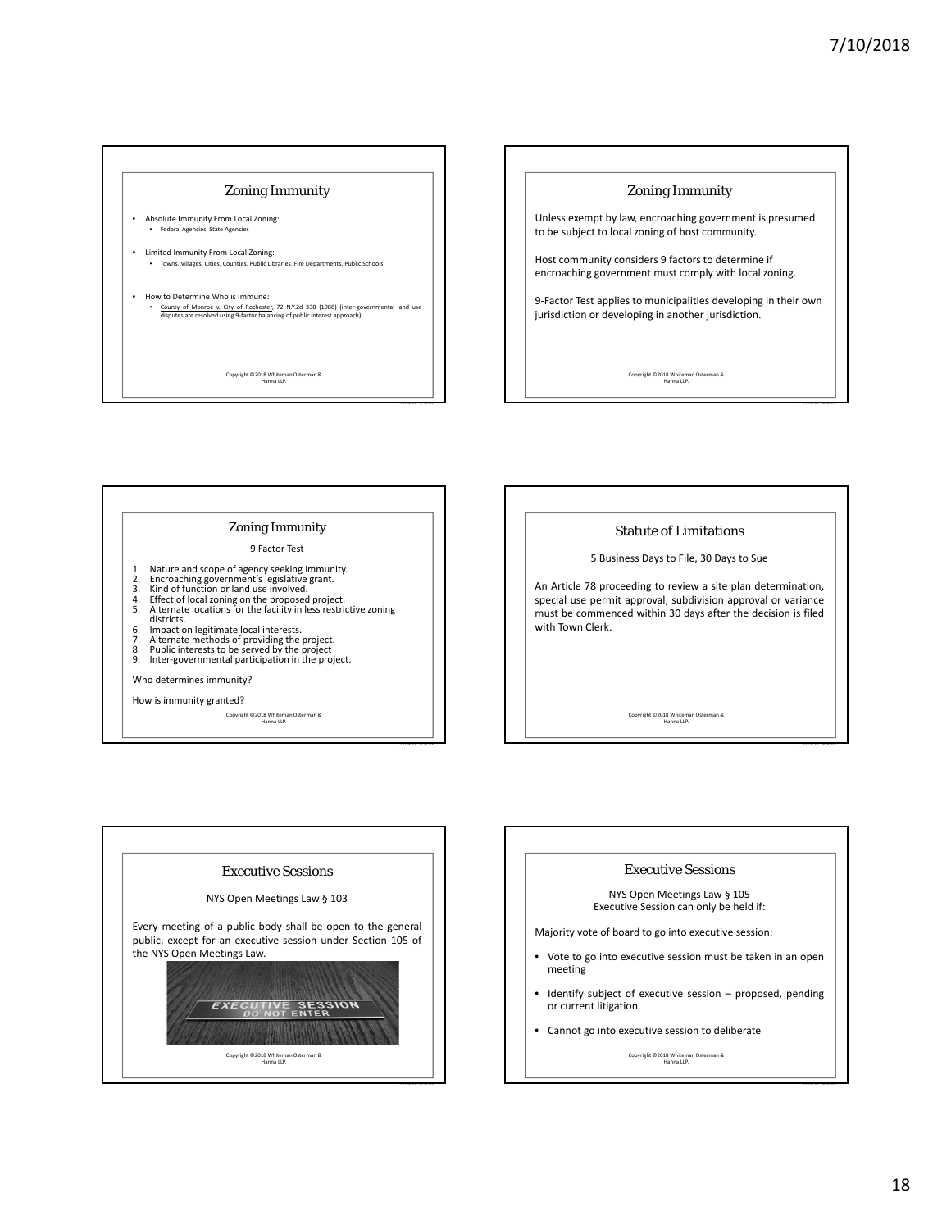#### Zoning Immunity

- Absolute Immunity From Local Zoning: • Federal Agencies, State Agencies
- Limited Immunity From Local Zoning: • Towns, Villages, Cities, Counties, Public Libraries, Fire Departments, Public Schools
- How to Determine Who is Immune: • County of Monroe v. City of Rochester, 72 N.Y.2d 338 (1988) (inter‐governmental land use disputes are resolved using 9‐factor balancing of public interest approach).

Copyright ©2018 Whiteman Osterman & Hanna LLP.



## Zoning Immunity

#### 9 Factor Test

- 
- 
- 
- 1. Nature and scope of agency seeking immunity.<br>2. Encroaching government's legislative grant.<br>3. Kind of function or land use involved.<br>4. Effect of local zoning on the proposed project.<br>5. Alternate locations for the fac districts.
- 
- 6. Impact on legitimate local interests. 7. Alternate methods of providing the project.
- 
- 8. Public interests to be served by the project<br>9. Inter-governmental participation in the project.

#### Who determines immunity?

How is immunity granted?

Copyright ©2018 Whiteman Osterman & Hanna LLP.

#### Statute of Limitations

5 Business Days to File, 30 Days to Sue

An Article 78 proceeding to review a site plan determination, special use permit approval, subdivision approval or variance must be commenced within 30 days after the decision is filed with Town Clerk.



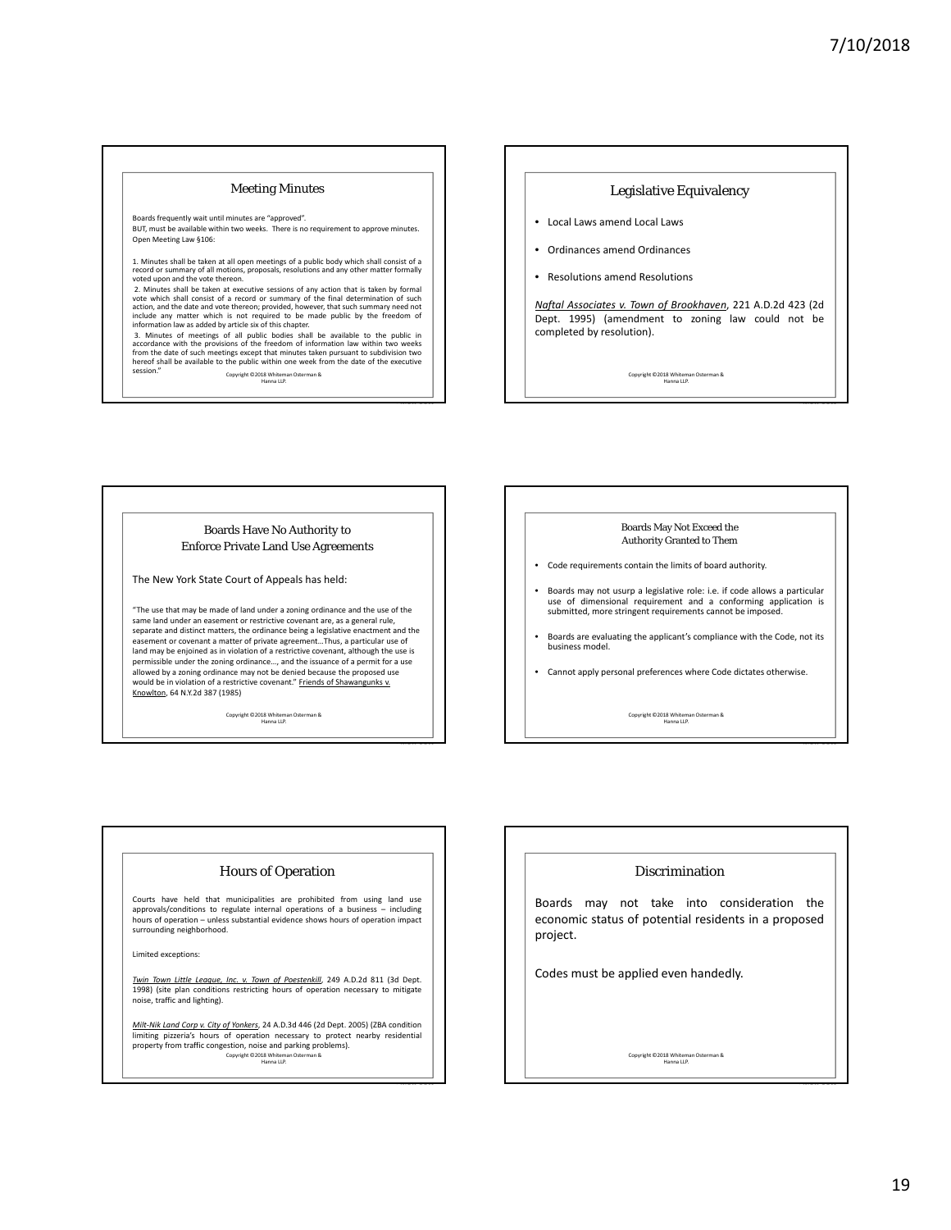#### Meeting Minutes

Boards frequently wait until minutes are "approved". BUT, must be available within two weeks. There is no requirement to approve minutes. Open Meeting Law §106:

1. Minutes shall be taken at all open meetings of a public body which shall consist of a record or summary of all motions, proposals, resolutions and any other matter formally voted upon and the vote thereon.

2. Minutes shall be taken at executive sessions of any action that is taken by formal<br>vote which shall consist of a record or summary of the final determination of such<br>action, and the date and vote thereon; provided, howe

3. Minutes of meetings of all public bodies shall be available to the public in<br>accordance with the provisions of the freedom of information law within two weeks<br>from the date of such meetings except that minutes taken pur session." Copyright ©2018 Whiteman Osterman & Hanna LLP.

#### Legislative Equivalency

- Local Laws amend Local Laws
- Ordinances amend Ordinances
- Resolutions amend Resolutions

*Naftal Associates v. Town of Brookhaven*, 221 A.D.2d 423 (2d Dept. 1995) (amendment to zoning law could not be completed by resolution).

Copyright ©2018 Whiteman Osterman & Hanna LLP.

#### Boards Have No Authority to Enforce Private Land Use Agreements

The New York State Court of Appeals has held:

"The use that may be made of land under a zoning ordinance and the use of the same land under an easement or restrictive covenant are, as a general rule, separate and distinct matters, the ordinance being a legislative enactment and the easement or covenant a matter of private agreement…Thus, a particular use of land may be enjoined as in violation of a restrictive covenant, although the use is permissible under the zoning ordinance..., and the issuance of a permit for a use<br>allowed by a zoning ordinance may not be denied because the proposed use<br>would be in violation of a restrictive covenant." <u>Friends of Shawa</u> Knowlton, 64 N.Y.2d 387 (1985)

Copyright ©2018 Whiteman Osterman & Hanna LLP.

#### Boards May Not Exceed the Authority Granted to Them

- Code requirements contain the limits of board authority.
- Boards may not usurp a legislative role: i.e. if code allows a particular use of dimensional requirement and a conforming application is submitted, more stringent requirements cannot be imposed.
- Boards are evaluating the applicant's compliance with the Code, not its business model.
- Cannot apply personal preferences where Code dictates otherwise.

Copyright ©2018 Whiteman Osterman & Hanna LLP.

#### Hours of Operation

Courts have held that municipalities are prohibited from using land use approvals/conditions to regulate internal operations of a business – including hours of operation – unless substantial evidence shows hours of operation impact surrounding neighborhood.

Limited exceptions:

*Twin Town Little League, Inc. v. Town of Poestenkill*, 249 A.D.2d 811 (3d Dept. 1998) (site plan conditions restricting hours of operation necessary to mitigate noise, traffic and lighting).

*Milt‐Nik Land Corp v. City of Yonkers*, 24 A.D.3d 446 (2d Dept. 2005) (ZBA condition limiting pizzeria's hours of operation necessary to protect nearby residential mining process of the state of the state of the property from traffic congestion, noise and parking problems).<br>Copyright @2018 Whiteman Osterman & Copyright ©2018 Whiteman Osterman & Hanna LLP.

#### Discrimination

Boards may not take into consideration the economic status of potential residents in a proposed project.

Codes must be applied even handedly.